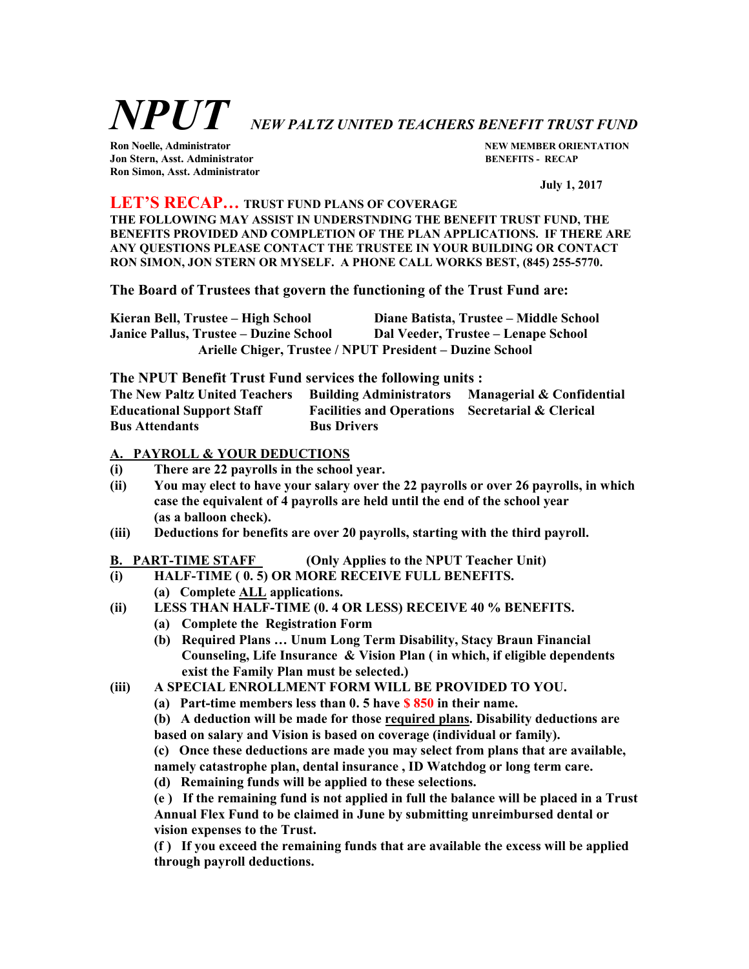# NPUT NEW PALTZ UNITED TEACHERS BENEFIT TRUST FUND

Jon Stern, Asst. Administrator BENEFITS - RECAP Ron Simon, Asst. Administrator

Ron Noelle, Administrator NEW MEMBER ORIENTATION

July 1, 2017

# LET'S RECAP… TRUST FUND PLANS OF COVERAGE

THE FOLLOWING MAY ASSIST IN UNDERSTNDING THE BENEFIT TRUST FUND, THE BENEFITS PROVIDED AND COMPLETION OF THE PLAN APPLICATIONS. IF THERE ARE ANY QUESTIONS PLEASE CONTACT THE TRUSTEE IN YOUR BUILDING OR CONTACT RON SIMON, JON STERN OR MYSELF. A PHONE CALL WORKS BEST, (845) 255-5770.

The Board of Trustees that govern the functioning of the Trust Fund are:

| Kieran Bell, Trustee – High School                       | Diane Batista, Trustee – Middle School |
|----------------------------------------------------------|----------------------------------------|
| Janice Pallus, Trustee – Duzine School                   | Dal Veeder, Trustee – Lenape School    |
| Arielle Chiger, Trustee / NPUT President – Duzine School |                                        |

The NPUT Benefit Trust Fund services the following units :

The New Paltz United Teachers Building Administrators Managerial & Confidential Educational Support Staff Facilities and Operations Secretarial & Clerical Bus Attendants Bus Drivers

# A. PAYROLL & YOUR DEDUCTIONS

- (i) There are 22 payrolls in the school year.
- (ii) You may elect to have your salary over the 22 payrolls or over 26 payrolls, in which case the equivalent of 4 payrolls are held until the end of the school year (as a balloon check).
- (iii) Deductions for benefits are over 20 payrolls, starting with the third payroll.

# B. PART-TIME STAFF (Only Applies to the NPUT Teacher Unit)

- (i) HALF-TIME ( 0. 5) OR MORE RECEIVE FULL BENEFITS.
	- (a) Complete ALL applications.
- (ii) LESS THAN HALF-TIME (0. 4 OR LESS) RECEIVE 40 % BENEFITS.
	- (a) Complete the Registration Form
	- (b) Required Plans … Unum Long Term Disability, Stacy Braun Financial Counseling, Life Insurance & Vision Plan ( in which, if eligible dependents exist the Family Plan must be selected.)
- (iii) A SPECIAL ENROLLMENT FORM WILL BE PROVIDED TO YOU.
	- (a) Part-time members less than  $0.5$  have  $\frac{1}{2}$  850 in their name.

(b) A deduction will be made for those required plans. Disability deductions are based on salary and Vision is based on coverage (individual or family).

(c) Once these deductions are made you may select from plans that are available,

namely catastrophe plan, dental insurance , ID Watchdog or long term care.

(d) Remaining funds will be applied to these selections.

(e ) If the remaining fund is not applied in full the balance will be placed in a Trust Annual Flex Fund to be claimed in June by submitting unreimbursed dental or vision expenses to the Trust.

(f ) If you exceed the remaining funds that are available the excess will be applied through payroll deductions.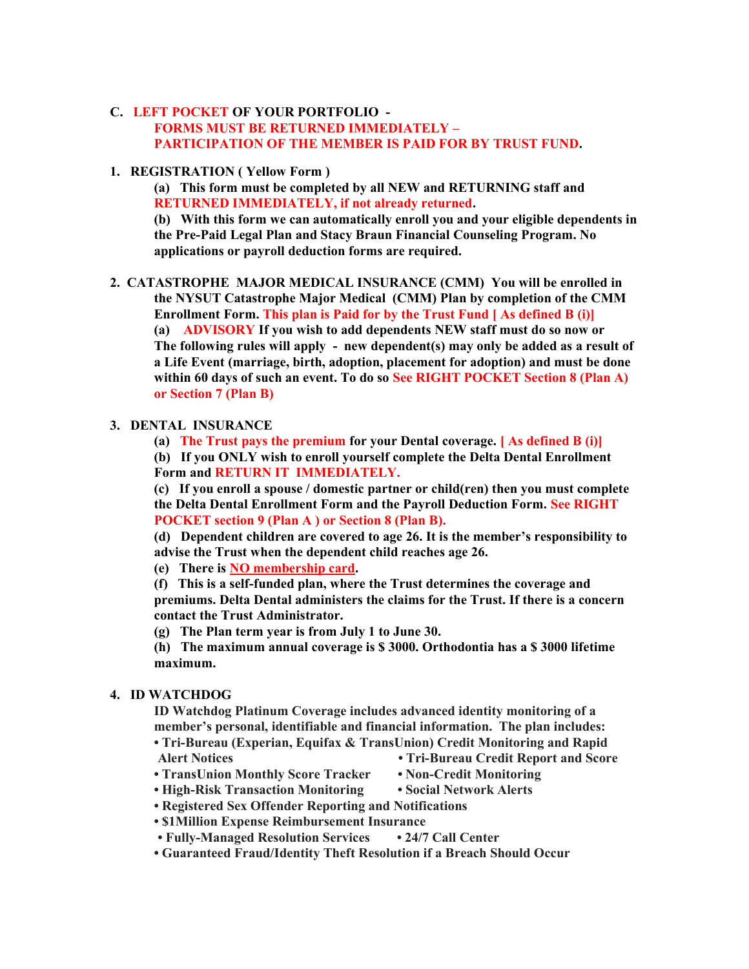# C. LEFT POCKET OF YOUR PORTFOLIO -

# FORMS MUST BE RETURNED IMMEDIATELY – PARTICIPATION OF THE MEMBER IS PAID FOR BY TRUST FUND.

1. REGISTRATION ( Yellow Form )

(a) This form must be completed by all NEW and RETURNING staff and RETURNED IMMEDIATELY, if not already returned.

(b) With this form we can automatically enroll you and your eligible dependents in the Pre-Paid Legal Plan and Stacy Braun Financial Counseling Program. No applications or payroll deduction forms are required.

2. CATASTROPHE MAJOR MEDICAL INSURANCE (CMM) You will be enrolled in the NYSUT Catastrophe Major Medical (CMM) Plan by completion of the CMM Enrollment Form. This plan is Paid for by the Trust Fund [ As defined B (i)]

(a) ADVISORY If you wish to add dependents NEW staff must do so now or The following rules will apply - new dependent(s) may only be added as a result of a Life Event (marriage, birth, adoption, placement for adoption) and must be done within 60 days of such an event. To do so See RIGHT POCKET Section 8 (Plan A) or Section 7 (Plan B)

# 3. DENTAL INSURANCE

(a) The Trust pays the premium for your Dental coverage. [ As defined B (i)]

(b) If you ONLY wish to enroll yourself complete the Delta Dental Enrollment Form and RETURN IT IMMEDIATELY.

(c) If you enroll a spouse / domestic partner or child(ren) then you must complete the Delta Dental Enrollment Form and the Payroll Deduction Form. See RIGHT POCKET section 9 (Plan A ) or Section 8 (Plan B).

(d) Dependent children are covered to age 26. It is the member's responsibility to advise the Trust when the dependent child reaches age 26.

(e) There is NO membership card.

(f) This is a self-funded plan, where the Trust determines the coverage and premiums. Delta Dental administers the claims for the Trust. If there is a concern contact the Trust Administrator.

(g) The Plan term year is from July 1 to June 30.

(h) The maximum annual coverage is \$ 3000. Orthodontia has a \$ 3000 lifetime maximum.

# 4. ID WATCHDOG

ID Watchdog Platinum Coverage includes advanced identity monitoring of a member's personal, identifiable and financial information. The plan includes:

- Tri-Bureau (Experian, Equifax & TransUnion) Credit Monitoring and Rapid Alert Notices • Tri-Bureau Credit Report and Score
- TransUnion Monthly Score Tracker Non-Credit Monitoring
	-
- High-Risk Transaction Monitoring Social Network Alerts
	-
- Registered Sex Offender Reporting and Notifications
- \$1Million Expense Reimbursement Insurance
- Fully-Managed Resolution Services 24/7 Call Center
- Guaranteed Fraud/Identity Theft Resolution if a Breach Should Occur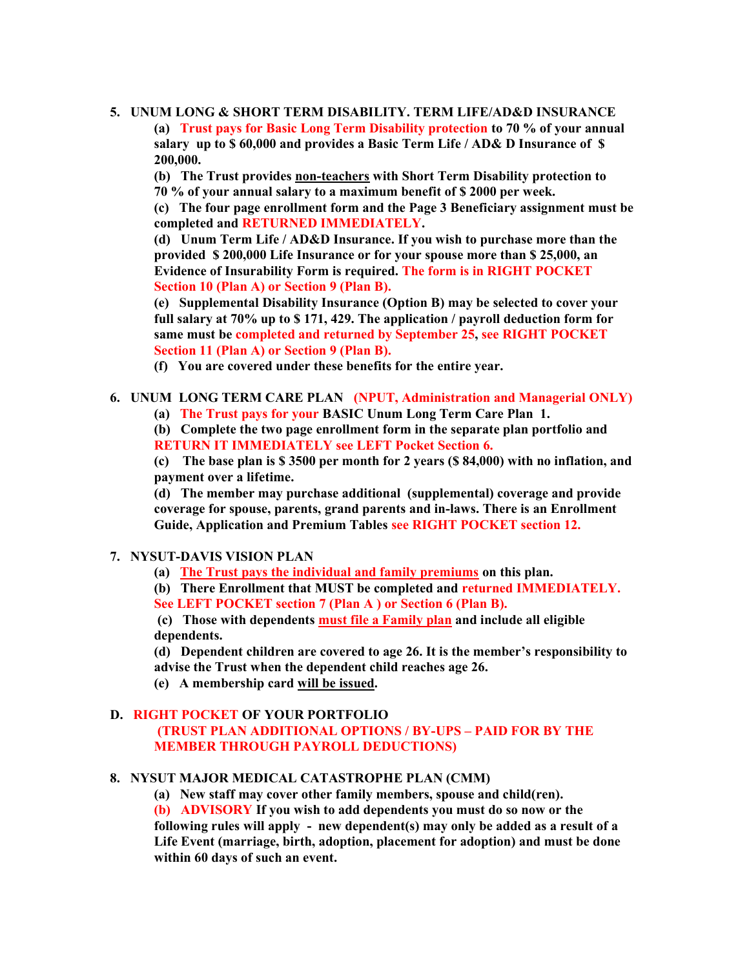# 5. UNUM LONG & SHORT TERM DISABILITY. TERM LIFE/AD&D INSURANCE

(a) Trust pays for Basic Long Term Disability protection to 70 % of your annual salary up to \$60,000 and provides a Basic Term Life / AD& D Insurance of \$ 200,000.

(b) The Trust provides non-teachers with Short Term Disability protection to 70 % of your annual salary to a maximum benefit of \$ 2000 per week.

(c) The four page enrollment form and the Page 3 Beneficiary assignment must be completed and RETURNED IMMEDIATELY.

(d) Unum Term Life / AD&D Insurance. If you wish to purchase more than the provided \$ 200,000 Life Insurance or for your spouse more than \$ 25,000, an Evidence of Insurability Form is required. The form is in RIGHT POCKET Section 10 (Plan A) or Section 9 (Plan B).

(e) Supplemental Disability Insurance (Option B) may be selected to cover your full salary at 70% up to \$ 171, 429. The application / payroll deduction form for same must be completed and returned by September 25, see RIGHT POCKET Section 11 (Plan A) or Section 9 (Plan B).

(f) You are covered under these benefits for the entire year.

#### 6. UNUM LONG TERM CARE PLAN (NPUT, Administration and Managerial ONLY)

(a) The Trust pays for your BASIC Unum Long Term Care Plan 1.

(b) Complete the two page enrollment form in the separate plan portfolio and RETURN IT IMMEDIATELY see LEFT Pocket Section 6.

(c) The base plan is \$ 3500 per month for 2 years (\$ 84,000) with no inflation, and payment over a lifetime.

(d) The member may purchase additional (supplemental) coverage and provide coverage for spouse, parents, grand parents and in-laws. There is an Enrollment Guide, Application and Premium Tables see RIGHT POCKET section 12.

#### 7. NYSUT-DAVIS VISION PLAN

- (a) The Trust pays the individual and family premiums on this plan.
- (b) There Enrollment that MUST be completed and returned IMMEDIATELY.
- See LEFT POCKET section 7 (Plan A ) or Section 6 (Plan B).

 (c) Those with dependents must file a Family plan and include all eligible dependents.

- (d) Dependent children are covered to age 26. It is the member's responsibility to advise the Trust when the dependent child reaches age 26.
- 
- (e) A membership card will be issued.

# D. RIGHT POCKET OF YOUR PORTFOLIO

 (TRUST PLAN ADDITIONAL OPTIONS / BY-UPS – PAID FOR BY THE MEMBER THROUGH PAYROLL DEDUCTIONS)

#### 8. NYSUT MAJOR MEDICAL CATASTROPHE PLAN (CMM)

(a) New staff may cover other family members, spouse and child(ren).

(b) ADVISORY If you wish to add dependents you must do so now or the

following rules will apply - new dependent(s) may only be added as a result of a Life Event (marriage, birth, adoption, placement for adoption) and must be done within 60 days of such an event.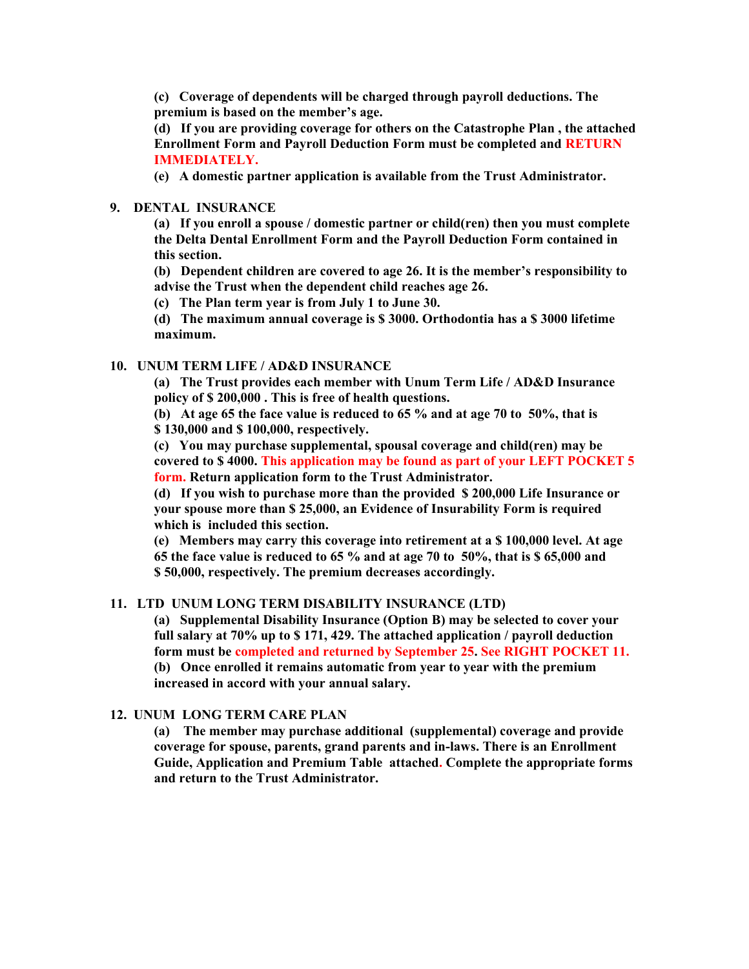(c) Coverage of dependents will be charged through payroll deductions. The premium is based on the member's age.

(d) If you are providing coverage for others on the Catastrophe Plan , the attached Enrollment Form and Payroll Deduction Form must be completed and RETURN IMMEDIATELY.

(e) A domestic partner application is available from the Trust Administrator.

#### 9. DENTAL INSURANCE

(a) If you enroll a spouse / domestic partner or child(ren) then you must complete the Delta Dental Enrollment Form and the Payroll Deduction Form contained in this section.

(b) Dependent children are covered to age 26. It is the member's responsibility to advise the Trust when the dependent child reaches age 26.

(c) The Plan term year is from July 1 to June 30.

(d) The maximum annual coverage is \$ 3000. Orthodontia has a \$ 3000 lifetime maximum.

# 10. UNUM TERM LIFE / AD&D INSURANCE

(a) The Trust provides each member with Unum Term Life / AD&D Insurance policy of \$ 200,000 . This is free of health questions.

(b) At age 65 the face value is reduced to 65 % and at age 70 to 50%, that is \$ 130,000 and \$ 100,000, respectively.

(c) You may purchase supplemental, spousal coverage and child(ren) may be covered to \$ 4000. This application may be found as part of your LEFT POCKET 5 form. Return application form to the Trust Administrator.

(d) If you wish to purchase more than the provided \$ 200,000 Life Insurance or your spouse more than \$ 25,000, an Evidence of Insurability Form is required which is included this section.

(e) Members may carry this coverage into retirement at a \$ 100,000 level. At age 65 the face value is reduced to 65 % and at age 70 to 50%, that is \$ 65,000 and \$ 50,000, respectively. The premium decreases accordingly.

# 11. LTD UNUM LONG TERM DISABILITY INSURANCE (LTD)

(a) Supplemental Disability Insurance (Option B) may be selected to cover your full salary at 70% up to \$171, 429. The attached application / payroll deduction form must be completed and returned by September 25. See RIGHT POCKET 11. (b) Once enrolled it remains automatic from year to year with the premium increased in accord with your annual salary.

#### 12. UNUM LONG TERM CARE PLAN

(a) The member may purchase additional (supplemental) coverage and provide coverage for spouse, parents, grand parents and in-laws. There is an Enrollment Guide, Application and Premium Table attached. Complete the appropriate forms and return to the Trust Administrator.